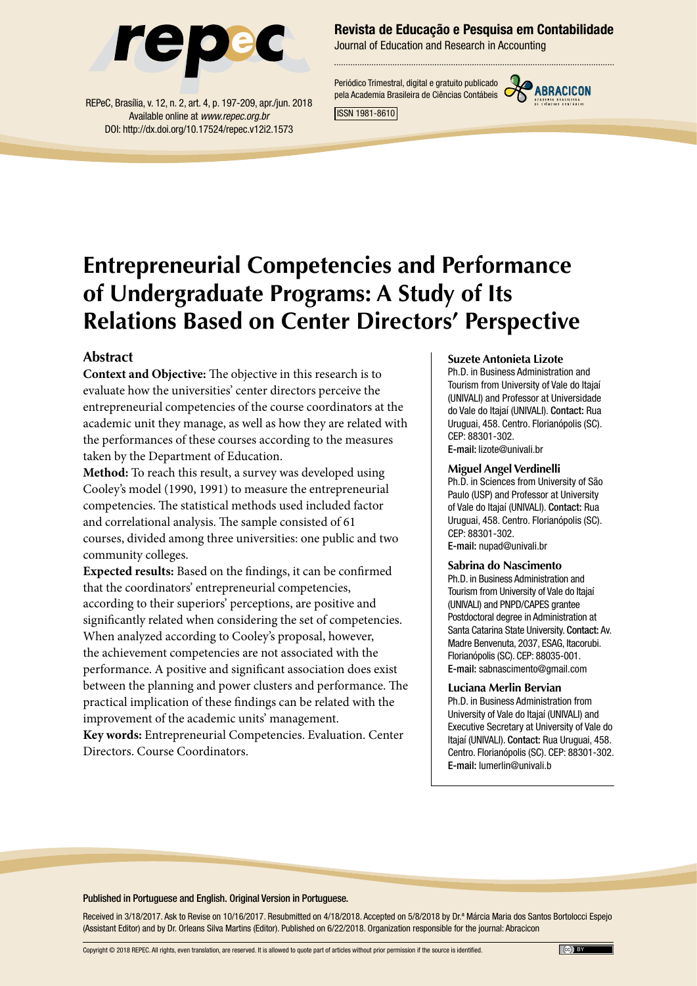

REPeC, Brasília, v. 12, n. 2, art. 4, p. 197-209, apr./jun. 2018 Available online at *www.repec.org.br* DOI: http://dx.doi.org/10.17524/repec.v12i2.1573

### Revista de Educação e Pesquisa em Contabilidade

Journal of Education and Research in Accounting

Periódico Trimestral, digital e gratuito publicado pela Academia Brasileira de Ciências Contábeis



ISSN 1981-8610

# **Entrepreneurial Competencies and Performance of Undergraduate Programs: A Study of Its Relations Based on Center Directors' Perspective**

### **Abstract**

**Context and Objective:** The objective in this research is to evaluate how the universities' center directors perceive the entrepreneurial competencies of the course coordinators at the academic unit they manage, as well as how they are related with the performances of these courses according to the measures taken by the Department of Education.

**Method:** To reach this result, a survey was developed using Cooley's model (1990, 1991) to measure the entrepreneurial competencies. The statistical methods used included factor and correlational analysis. The sample consisted of 61 courses, divided among three universities: one public and two community colleges.

**Expected results:** Based on the findings, it can be confirmed that the coordinators' entrepreneurial competencies, according to their superiors' perceptions, are positive and significantly related when considering the set of competencies. When analyzed according to Cooley's proposal, however, the achievement competencies are not associated with the performance. A positive and significant association does exist between the planning and power clusters and performance. The practical implication of these findings can be related with the improvement of the academic units' management. **Key words:** Entrepreneurial Competencies. Evaluation. Center Directors. Course Coordinators.

#### **Suzete Antonieta Lizote**

Ph.D. in Business Administration and Tourism from University of Vale do Itajaí (UNIVALI) and Professor at Universidade do Vale do Itajaí (UNIVALI). Contact: Rua Uruguai, 458. Centro. Florianópolis (SC). CEP: 88301-302.

E-mail: lizote@univali.br

#### **Miguel Angel Verdinelli**

Ph.D. in Sciences from University of São Paulo (USP) and Professor at University of Vale do Itajaí (UNIVALI). Contact: Rua Uruguai, 458. Centro. Florianópolis (SC). CEP: 88301-302. E-mail: nupad@univali.br

#### **Sabrina do Nascimento**

Ph.D. in Business Administration and Tourism from University of Vale do Itajaí (UNIVALI) and PNPD/CAPES grantee Postdoctoral degree in Administration at Santa Catarina State University. Contact: Av. Madre Benvenuta, 2037, ESAG, Itacorubi. Florianópolis (SC). CEP: 88035-001. E-mail: sabnascimento@gmail.com

#### **Luciana Merlin Bervian**

Ph.D. in Business Administration from University of Vale do Itajaí (UNIVALI) and Executive Secretary at University of Vale do Itajaí (UNIVALI). Contact: Rua Uruguai, 458. Centro. Florianópolis (SC). CEP: 88301-302. E-mail: lumerlin@univali.b

#### Published in Portuguese and English. Original Version in Portuguese.

Received in 3/18/2017. Ask to Revise on 10/16/2017. Resubmitted on 4/18/2018. Accepted on 5/8/2018 by Dr.ª Márcia Maria dos Santos Bortolocci Espejo (Assistant Editor) and by Dr. Orleans Silva Martins (Editor). Published on 6/22/2018. Organization responsible for the journal: Abracicon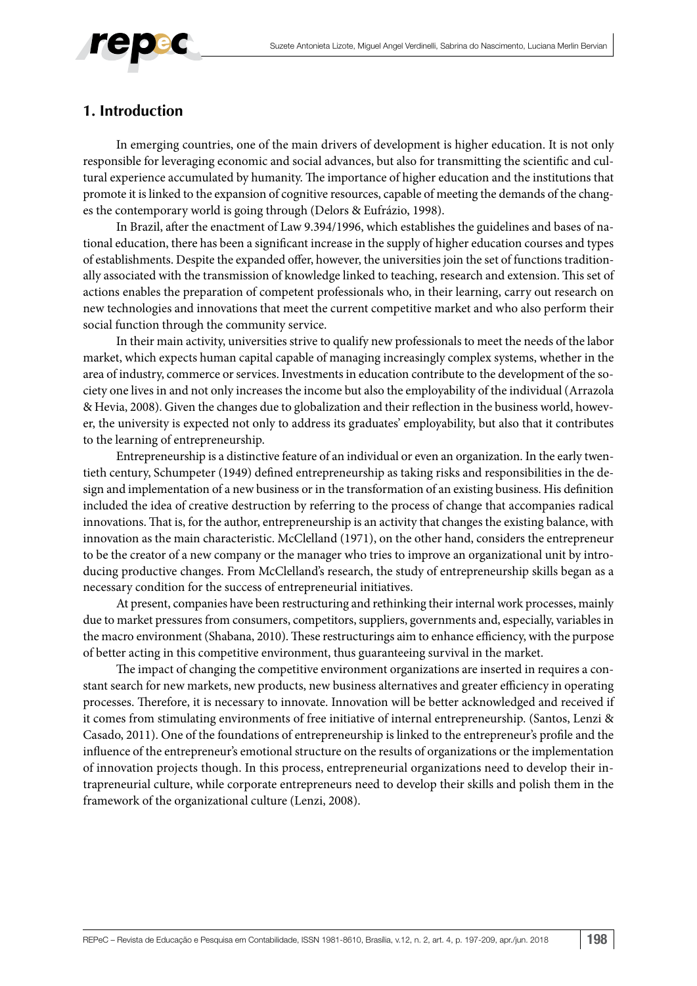

# **1. Introduction**

In emerging countries, one of the main drivers of development is higher education. It is not only responsible for leveraging economic and social advances, but also for transmitting the scientific and cultural experience accumulated by humanity. The importance of higher education and the institutions that promote it is linked to the expansion of cognitive resources, capable of meeting the demands of the changes the contemporary world is going through (Delors & Eufrázio, 1998).

In Brazil, after the enactment of Law 9.394/1996, which establishes the guidelines and bases of national education, there has been a significant increase in the supply of higher education courses and types of establishments. Despite the expanded offer, however, the universities join the set of functions traditionally associated with the transmission of knowledge linked to teaching, research and extension. This set of actions enables the preparation of competent professionals who, in their learning, carry out research on new technologies and innovations that meet the current competitive market and who also perform their social function through the community service.

In their main activity, universities strive to qualify new professionals to meet the needs of the labor market, which expects human capital capable of managing increasingly complex systems, whether in the area of industry, commerce or services. Investments in education contribute to the development of the society one lives in and not only increases the income but also the employability of the individual (Arrazola & Hevia, 2008). Given the changes due to globalization and their reflection in the business world, however, the university is expected not only to address its graduates' employability, but also that it contributes to the learning of entrepreneurship.

Entrepreneurship is a distinctive feature of an individual or even an organization. In the early twentieth century, Schumpeter (1949) defined entrepreneurship as taking risks and responsibilities in the design and implementation of a new business or in the transformation of an existing business. His definition included the idea of creative destruction by referring to the process of change that accompanies radical innovations. That is, for the author, entrepreneurship is an activity that changes the existing balance, with innovation as the main characteristic. McClelland (1971), on the other hand, considers the entrepreneur to be the creator of a new company or the manager who tries to improve an organizational unit by introducing productive changes. From McClelland's research, the study of entrepreneurship skills began as a necessary condition for the success of entrepreneurial initiatives.

At present, companies have been restructuring and rethinking their internal work processes, mainly due to market pressures from consumers, competitors, suppliers, governments and, especially, variables in the macro environment (Shabana, 2010). These restructurings aim to enhance efficiency, with the purpose of better acting in this competitive environment, thus guaranteeing survival in the market.

The impact of changing the competitive environment organizations are inserted in requires a constant search for new markets, new products, new business alternatives and greater efficiency in operating processes. Therefore, it is necessary to innovate. Innovation will be better acknowledged and received if it comes from stimulating environments of free initiative of internal entrepreneurship. (Santos, Lenzi & Casado, 2011). One of the foundations of entrepreneurship is linked to the entrepreneur's profile and the influence of the entrepreneur's emotional structure on the results of organizations or the implementation of innovation projects though. In this process, entrepreneurial organizations need to develop their intrapreneurial culture, while corporate entrepreneurs need to develop their skills and polish them in the framework of the organizational culture (Lenzi, 2008).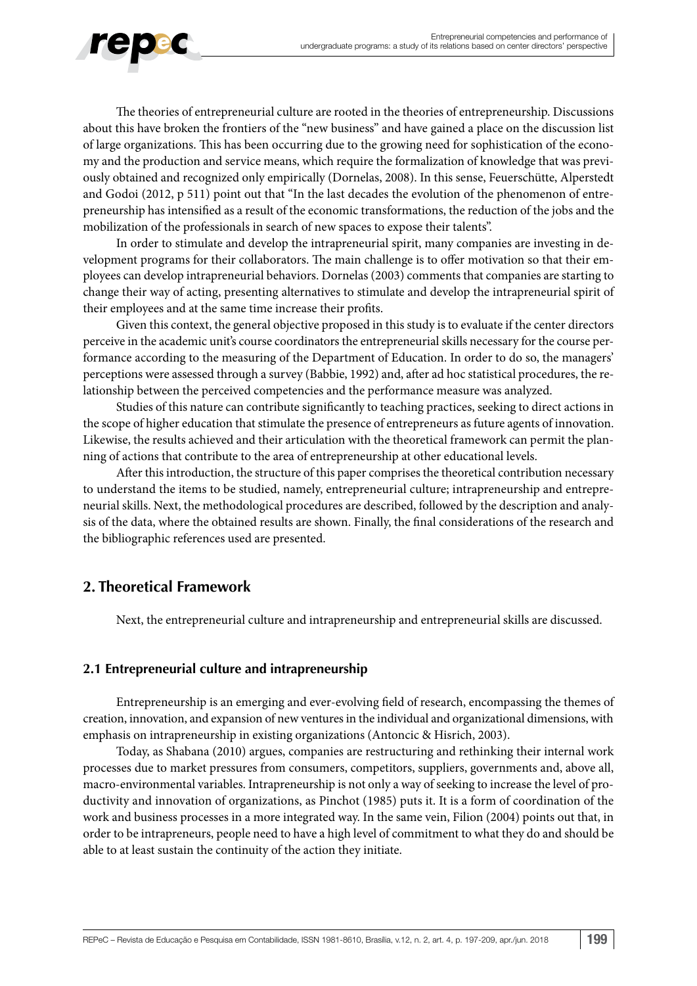

The theories of entrepreneurial culture are rooted in the theories of entrepreneurship. Discussions about this have broken the frontiers of the "new business" and have gained a place on the discussion list of large organizations. This has been occurring due to the growing need for sophistication of the economy and the production and service means, which require the formalization of knowledge that was previously obtained and recognized only empirically (Dornelas, 2008). In this sense, Feuerschütte, Alperstedt and Godoi (2012, p 511) point out that "In the last decades the evolution of the phenomenon of entrepreneurship has intensified as a result of the economic transformations, the reduction of the jobs and the mobilization of the professionals in search of new spaces to expose their talents".

In order to stimulate and develop the intrapreneurial spirit, many companies are investing in development programs for their collaborators. The main challenge is to offer motivation so that their employees can develop intrapreneurial behaviors. Dornelas (2003) comments that companies are starting to change their way of acting, presenting alternatives to stimulate and develop the intrapreneurial spirit of their employees and at the same time increase their profits.

Given this context, the general objective proposed in this study is to evaluate if the center directors perceive in the academic unit's course coordinators the entrepreneurial skills necessary for the course performance according to the measuring of the Department of Education. In order to do so, the managers' perceptions were assessed through a survey (Babbie, 1992) and, after ad hoc statistical procedures, the relationship between the perceived competencies and the performance measure was analyzed.

Studies of this nature can contribute significantly to teaching practices, seeking to direct actions in the scope of higher education that stimulate the presence of entrepreneurs as future agents of innovation. Likewise, the results achieved and their articulation with the theoretical framework can permit the planning of actions that contribute to the area of entrepreneurship at other educational levels.

After this introduction, the structure of this paper comprises the theoretical contribution necessary to understand the items to be studied, namely, entrepreneurial culture; intrapreneurship and entrepreneurial skills. Next, the methodological procedures are described, followed by the description and analysis of the data, where the obtained results are shown. Finally, the final considerations of the research and the bibliographic references used are presented.

# **2. Theoretical Framework**

Next, the entrepreneurial culture and intrapreneurship and entrepreneurial skills are discussed.

### **2.1 Entrepreneurial culture and intrapreneurship**

Entrepreneurship is an emerging and ever-evolving field of research, encompassing the themes of creation, innovation, and expansion of new ventures in the individual and organizational dimensions, with emphasis on intrapreneurship in existing organizations (Antoncic & Hisrich, 2003).

Today, as Shabana (2010) argues, companies are restructuring and rethinking their internal work processes due to market pressures from consumers, competitors, suppliers, governments and, above all, macro-environmental variables. Intrapreneurship is not only a way of seeking to increase the level of productivity and innovation of organizations, as Pinchot (1985) puts it. It is a form of coordination of the work and business processes in a more integrated way. In the same vein, Filion (2004) points out that, in order to be intrapreneurs, people need to have a high level of commitment to what they do and should be able to at least sustain the continuity of the action they initiate.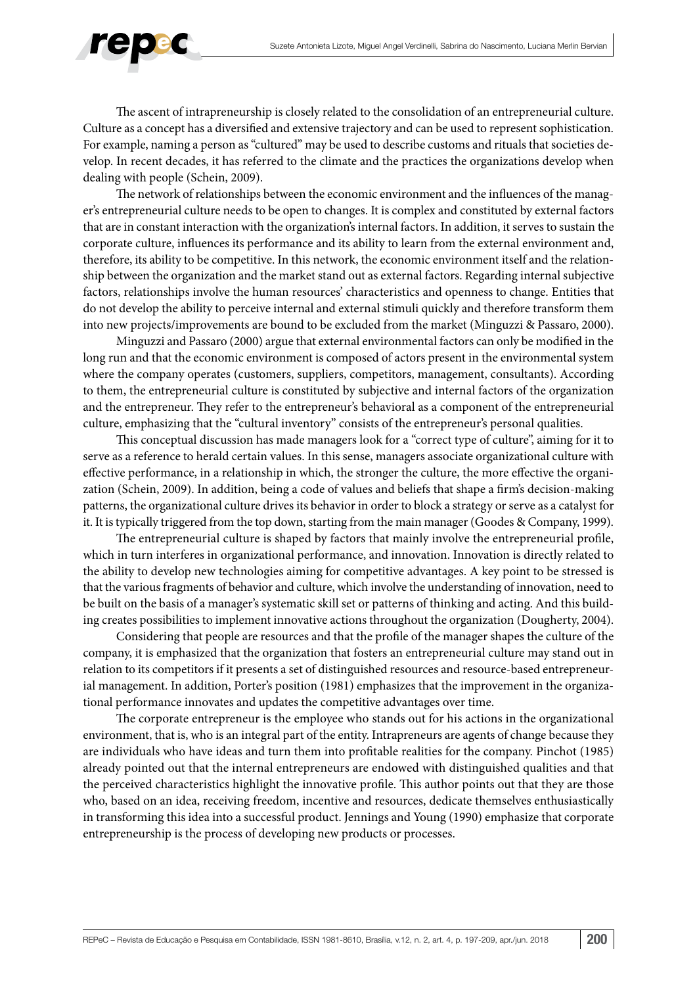

The ascent of intrapreneurship is closely related to the consolidation of an entrepreneurial culture. Culture as a concept has a diversified and extensive trajectory and can be used to represent sophistication. For example, naming a person as "cultured" may be used to describe customs and rituals that societies develop. In recent decades, it has referred to the climate and the practices the organizations develop when dealing with people (Schein, 2009).

The network of relationships between the economic environment and the influences of the manager's entrepreneurial culture needs to be open to changes. It is complex and constituted by external factors that are in constant interaction with the organization's internal factors. In addition, it serves to sustain the corporate culture, influences its performance and its ability to learn from the external environment and, therefore, its ability to be competitive. In this network, the economic environment itself and the relationship between the organization and the market stand out as external factors. Regarding internal subjective factors, relationships involve the human resources' characteristics and openness to change. Entities that do not develop the ability to perceive internal and external stimuli quickly and therefore transform them into new projects/improvements are bound to be excluded from the market (Minguzzi & Passaro, 2000).

Minguzzi and Passaro (2000) argue that external environmental factors can only be modified in the long run and that the economic environment is composed of actors present in the environmental system where the company operates (customers, suppliers, competitors, management, consultants). According to them, the entrepreneurial culture is constituted by subjective and internal factors of the organization and the entrepreneur. They refer to the entrepreneur's behavioral as a component of the entrepreneurial culture, emphasizing that the "cultural inventory" consists of the entrepreneur's personal qualities.

This conceptual discussion has made managers look for a "correct type of culture", aiming for it to serve as a reference to herald certain values. In this sense, managers associate organizational culture with effective performance, in a relationship in which, the stronger the culture, the more effective the organization (Schein, 2009). In addition, being a code of values and beliefs that shape a firm's decision-making patterns, the organizational culture drives its behavior in order to block a strategy or serve as a catalyst for it. It is typically triggered from the top down, starting from the main manager (Goodes & Company, 1999).

The entrepreneurial culture is shaped by factors that mainly involve the entrepreneurial profile, which in turn interferes in organizational performance, and innovation. Innovation is directly related to the ability to develop new technologies aiming for competitive advantages. A key point to be stressed is that the various fragments of behavior and culture, which involve the understanding of innovation, need to be built on the basis of a manager's systematic skill set or patterns of thinking and acting. And this building creates possibilities to implement innovative actions throughout the organization (Dougherty, 2004).

Considering that people are resources and that the profile of the manager shapes the culture of the company, it is emphasized that the organization that fosters an entrepreneurial culture may stand out in relation to its competitors if it presents a set of distinguished resources and resource-based entrepreneurial management. In addition, Porter's position (1981) emphasizes that the improvement in the organizational performance innovates and updates the competitive advantages over time.

The corporate entrepreneur is the employee who stands out for his actions in the organizational environment, that is, who is an integral part of the entity. Intrapreneurs are agents of change because they are individuals who have ideas and turn them into profitable realities for the company. Pinchot (1985) already pointed out that the internal entrepreneurs are endowed with distinguished qualities and that the perceived characteristics highlight the innovative profile. This author points out that they are those who, based on an idea, receiving freedom, incentive and resources, dedicate themselves enthusiastically in transforming this idea into a successful product. Jennings and Young (1990) emphasize that corporate entrepreneurship is the process of developing new products or processes.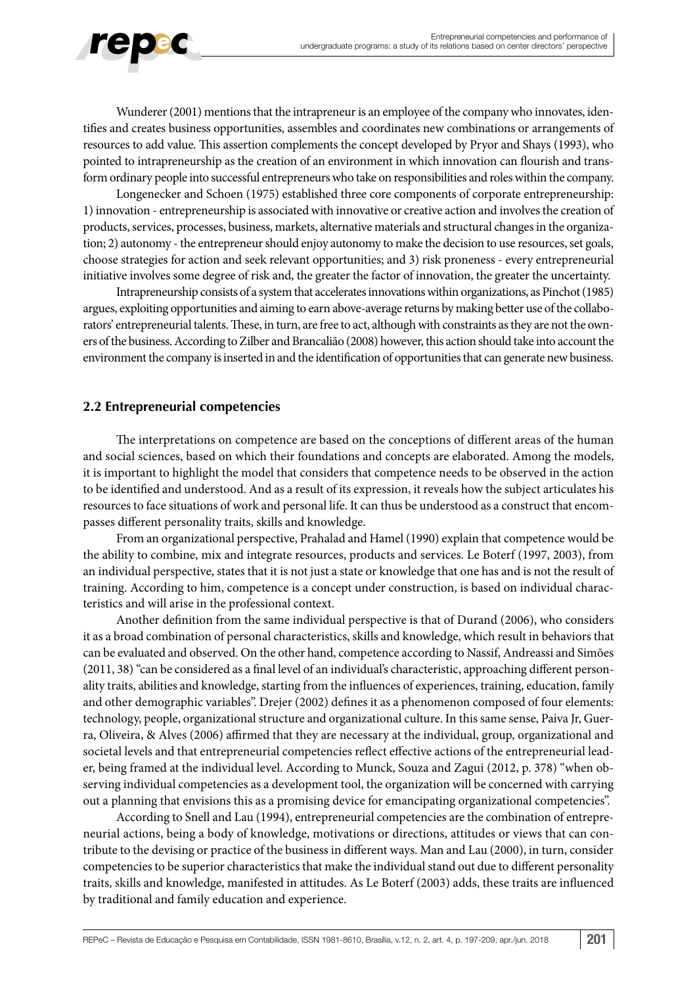

Wunderer (2001) mentions that the intrapreneur is an employee of the company who innovates, identifies and creates business opportunities, assembles and coordinates new combinations or arrangements of resources to add value. This assertion complements the concept developed by Pryor and Shays (1993), who pointed to intrapreneurship as the creation of an environment in which innovation can flourish and transform ordinary people into successful entrepreneurs who take on responsibilities and roles within the company.

Longenecker and Schoen (1975) established three core components of corporate entrepreneurship: 1) innovation - entrepreneurship is associated with innovative or creative action and involves the creation of products, services, processes, business, markets, alternative materials and structural changes in the organization; 2) autonomy - the entrepreneur should enjoy autonomy to make the decision to use resources, set goals, choose strategies for action and seek relevant opportunities; and 3) risk proneness - every entrepreneurial initiative involves some degree of risk and, the greater the factor of innovation, the greater the uncertainty.

Intrapreneurship consists of a system that accelerates innovations within organizations, as Pinchot (1985) argues, exploiting opportunities and aiming to earn above-average returns by making better use of the collaborators' entrepreneurial talents. These, in turn, are free to act, although with constraints as they are not the owners of the business. According to Zilber and Brancalião (2008) however, this action should take into account the environment the company is inserted in and the identification of opportunities that can generate new business.

### **2.2 Entrepreneurial competencies**

The interpretations on competence are based on the conceptions of different areas of the human and social sciences, based on which their foundations and concepts are elaborated. Among the models, it is important to highlight the model that considers that competence needs to be observed in the action to be identified and understood. And as a result of its expression, it reveals how the subject articulates his resources to face situations of work and personal life. It can thus be understood as a construct that encompasses different personality traits, skills and knowledge.

From an organizational perspective, Prahalad and Hamel (1990) explain that competence would be the ability to combine, mix and integrate resources, products and services. Le Boterf (1997, 2003), from an individual perspective, states that it is not just a state or knowledge that one has and is not the result of training. According to him, competence is a concept under construction, is based on individual characteristics and will arise in the professional context.

Another definition from the same individual perspective is that of Durand (2006), who considers it as a broad combination of personal characteristics, skills and knowledge, which result in behaviors that can be evaluated and observed. On the other hand, competence according to Nassif, Andreassi and Simões (2011, 38) "can be considered as a final level of an individual's characteristic, approaching different personality traits, abilities and knowledge, starting from the influences of experiences, training, education, family and other demographic variables". Drejer (2002) defines it as a phenomenon composed of four elements: technology, people, organizational structure and organizational culture. In this same sense, Paiva Jr, Guerra, Oliveira, & Alves (2006) affirmed that they are necessary at the individual, group, organizational and societal levels and that entrepreneurial competencies reflect effective actions of the entrepreneurial leader, being framed at the individual level. According to Munck, Souza and Zagui (2012, p. 378) "when observing individual competencies as a development tool, the organization will be concerned with carrying out a planning that envisions this as a promising device for emancipating organizational competencies".

According to Snell and Lau (1994), entrepreneurial competencies are the combination of entrepreneurial actions, being a body of knowledge, motivations or directions, attitudes or views that can contribute to the devising or practice of the business in different ways. Man and Lau (2000), in turn, consider competencies to be superior characteristics that make the individual stand out due to different personality traits, skills and knowledge, manifested in attitudes. As Le Boterf (2003) adds, these traits are influenced by traditional and family education and experience.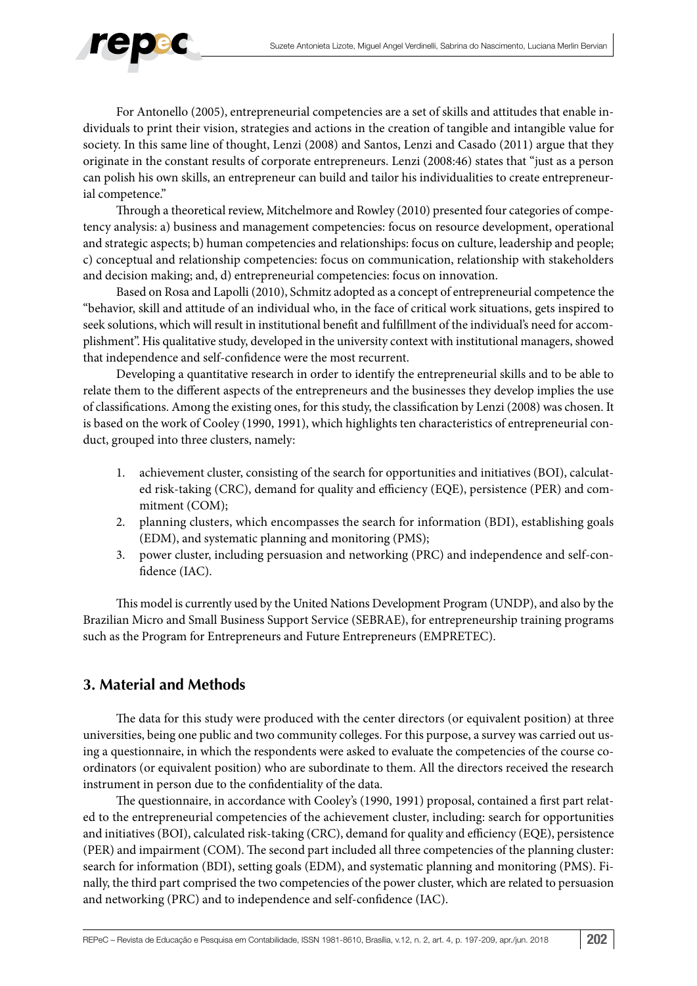

For Antonello (2005), entrepreneurial competencies are a set of skills and attitudes that enable individuals to print their vision, strategies and actions in the creation of tangible and intangible value for society. In this same line of thought, Lenzi (2008) and Santos, Lenzi and Casado (2011) argue that they originate in the constant results of corporate entrepreneurs. Lenzi (2008:46) states that "just as a person can polish his own skills, an entrepreneur can build and tailor his individualities to create entrepreneurial competence."

Through a theoretical review, Mitchelmore and Rowley (2010) presented four categories of competency analysis: a) business and management competencies: focus on resource development, operational and strategic aspects; b) human competencies and relationships: focus on culture, leadership and people; c) conceptual and relationship competencies: focus on communication, relationship with stakeholders and decision making; and, d) entrepreneurial competencies: focus on innovation.

Based on Rosa and Lapolli (2010), Schmitz adopted as a concept of entrepreneurial competence the "behavior, skill and attitude of an individual who, in the face of critical work situations, gets inspired to seek solutions, which will result in institutional benefit and fulfillment of the individual's need for accomplishment". His qualitative study, developed in the university context with institutional managers, showed that independence and self-confidence were the most recurrent.

Developing a quantitative research in order to identify the entrepreneurial skills and to be able to relate them to the different aspects of the entrepreneurs and the businesses they develop implies the use of classifications. Among the existing ones, for this study, the classification by Lenzi (2008) was chosen. It is based on the work of Cooley (1990, 1991), which highlights ten characteristics of entrepreneurial conduct, grouped into three clusters, namely:

- 1. achievement cluster, consisting of the search for opportunities and initiatives (BOI), calculated risk-taking (CRC), demand for quality and efficiency (EQE), persistence (PER) and commitment (COM);
- 2. planning clusters, which encompasses the search for information (BDI), establishing goals (EDM), and systematic planning and monitoring (PMS);
- 3. power cluster, including persuasion and networking (PRC) and independence and self-confidence (IAC).

This model is currently used by the United Nations Development Program (UNDP), and also by the Brazilian Micro and Small Business Support Service (SEBRAE), for entrepreneurship training programs such as the Program for Entrepreneurs and Future Entrepreneurs (EMPRETEC).

# **3. Material and Methods**

The data for this study were produced with the center directors (or equivalent position) at three universities, being one public and two community colleges. For this purpose, a survey was carried out using a questionnaire, in which the respondents were asked to evaluate the competencies of the course coordinators (or equivalent position) who are subordinate to them. All the directors received the research instrument in person due to the confidentiality of the data.

The questionnaire, in accordance with Cooley's (1990, 1991) proposal, contained a first part related to the entrepreneurial competencies of the achievement cluster, including: search for opportunities and initiatives (BOI), calculated risk-taking (CRC), demand for quality and efficiency (EQE), persistence (PER) and impairment (COM). The second part included all three competencies of the planning cluster: search for information (BDI), setting goals (EDM), and systematic planning and monitoring (PMS). Finally, the third part comprised the two competencies of the power cluster, which are related to persuasion and networking (PRC) and to independence and self-confidence (IAC).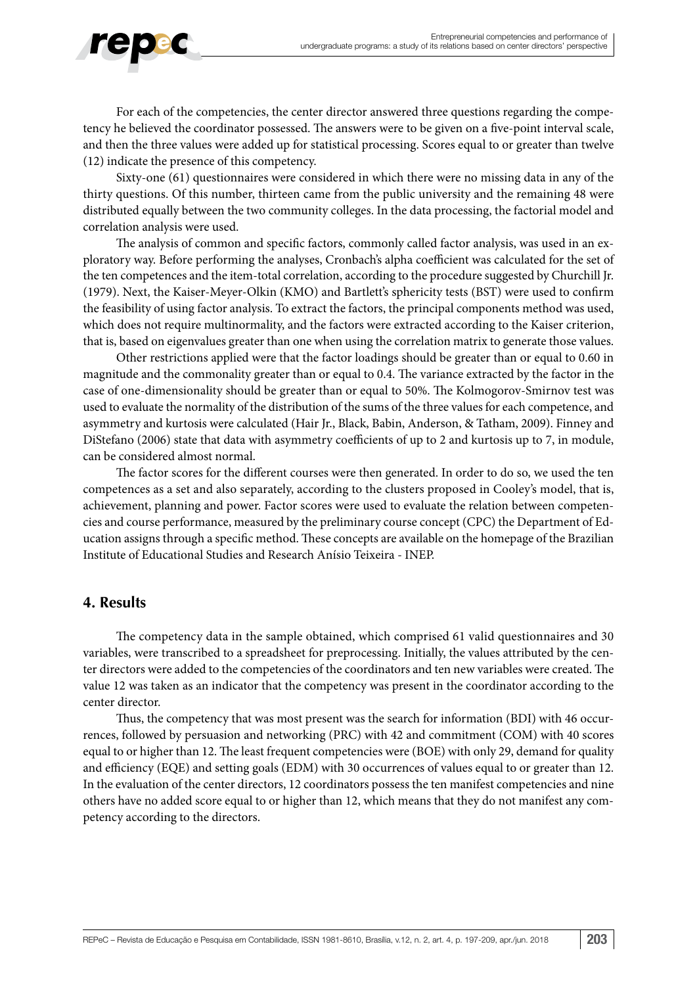

For each of the competencies, the center director answered three questions regarding the competency he believed the coordinator possessed. The answers were to be given on a five-point interval scale, and then the three values were added up for statistical processing. Scores equal to or greater than twelve (12) indicate the presence of this competency.

Sixty-one (61) questionnaires were considered in which there were no missing data in any of the thirty questions. Of this number, thirteen came from the public university and the remaining 48 were distributed equally between the two community colleges. In the data processing, the factorial model and correlation analysis were used.

The analysis of common and specific factors, commonly called factor analysis, was used in an exploratory way. Before performing the analyses, Cronbach's alpha coefficient was calculated for the set of the ten competences and the item-total correlation, according to the procedure suggested by Churchill Jr. (1979). Next, the Kaiser-Meyer-Olkin (KMO) and Bartlett's sphericity tests (BST) were used to confirm the feasibility of using factor analysis. To extract the factors, the principal components method was used, which does not require multinormality, and the factors were extracted according to the Kaiser criterion, that is, based on eigenvalues greater than one when using the correlation matrix to generate those values.

Other restrictions applied were that the factor loadings should be greater than or equal to 0.60 in magnitude and the commonality greater than or equal to 0.4. The variance extracted by the factor in the case of one-dimensionality should be greater than or equal to 50%. The Kolmogorov-Smirnov test was used to evaluate the normality of the distribution of the sums of the three values for each competence, and asymmetry and kurtosis were calculated (Hair Jr., Black, Babin, Anderson, & Tatham, 2009). Finney and DiStefano (2006) state that data with asymmetry coefficients of up to 2 and kurtosis up to 7, in module, can be considered almost normal.

The factor scores for the different courses were then generated. In order to do so, we used the ten competences as a set and also separately, according to the clusters proposed in Cooley's model, that is, achievement, planning and power. Factor scores were used to evaluate the relation between competencies and course performance, measured by the preliminary course concept (CPC) the Department of Education assigns through a specific method. These concepts are available on the homepage of the Brazilian Institute of Educational Studies and Research Anísio Teixeira - INEP.

# **4. Results**

The competency data in the sample obtained, which comprised 61 valid questionnaires and 30 variables, were transcribed to a spreadsheet for preprocessing. Initially, the values attributed by the center directors were added to the competencies of the coordinators and ten new variables were created. The value 12 was taken as an indicator that the competency was present in the coordinator according to the center director.

Thus, the competency that was most present was the search for information (BDI) with 46 occurrences, followed by persuasion and networking (PRC) with 42 and commitment (COM) with 40 scores equal to or higher than 12. The least frequent competencies were (BOE) with only 29, demand for quality and efficiency (EQE) and setting goals (EDM) with 30 occurrences of values equal to or greater than 12. In the evaluation of the center directors, 12 coordinators possess the ten manifest competencies and nine others have no added score equal to or higher than 12, which means that they do not manifest any competency according to the directors.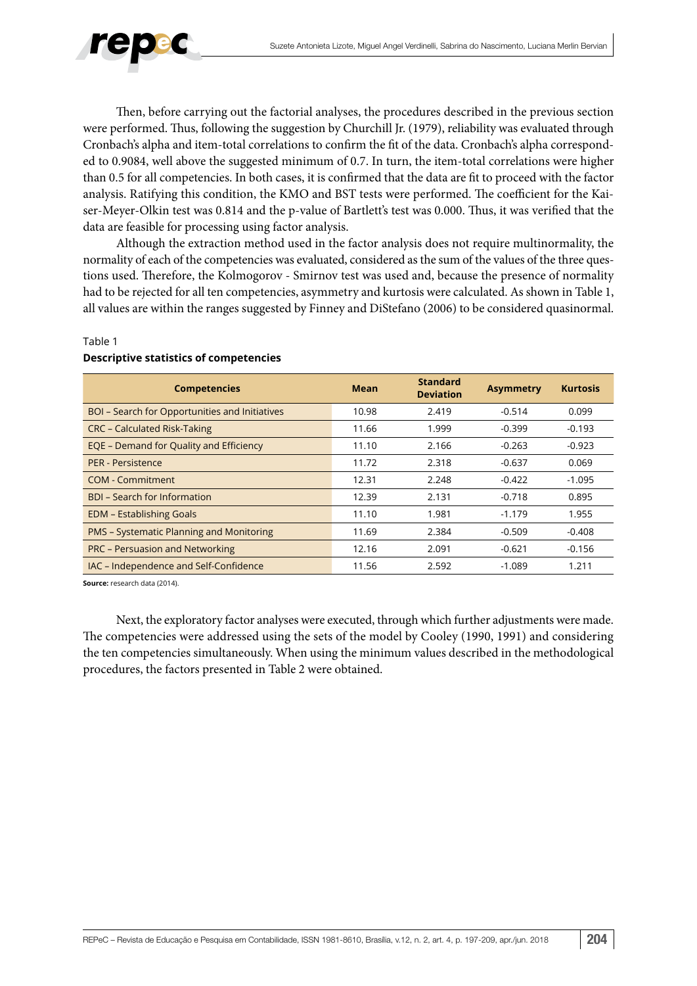

Then, before carrying out the factorial analyses, the procedures described in the previous section were performed. Thus, following the suggestion by Churchill Jr. (1979), reliability was evaluated through Cronbach's alpha and item-total correlations to confirm the fit of the data. Cronbach's alpha corresponded to 0.9084, well above the suggested minimum of 0.7. In turn, the item-total correlations were higher than 0.5 for all competencies. In both cases, it is confirmed that the data are fit to proceed with the factor analysis. Ratifying this condition, the KMO and BST tests were performed. The coefficient for the Kaiser-Meyer-Olkin test was 0.814 and the p-value of Bartlett's test was 0.000. Thus, it was verified that the data are feasible for processing using factor analysis.

Although the extraction method used in the factor analysis does not require multinormality, the normality of each of the competencies was evaluated, considered as the sum of the values of the three questions used. Therefore, the Kolmogorov - Smirnov test was used and, because the presence of normality had to be rejected for all ten competencies, asymmetry and kurtosis were calculated. As shown in Table 1, all values are within the ranges suggested by Finney and DiStefano (2006) to be considered quasinormal.

#### Table 1

| <b>Competencies</b>                                   | <b>Mean</b> | <b>Standard</b><br><b>Deviation</b> | <b>Asymmetry</b> | <b>Kurtosis</b> |
|-------------------------------------------------------|-------------|-------------------------------------|------------------|-----------------|
| <b>BOI</b> - Search for Opportunities and Initiatives | 10.98       | 2.419                               | $-0.514$         | 0.099           |
| <b>CRC - Calculated Risk-Taking</b>                   | 11.66       | 1.999                               | $-0.399$         | $-0.193$        |
| EQE - Demand for Quality and Efficiency               | 11.10       | 2.166                               | $-0.263$         | $-0.923$        |
| <b>PER - Persistence</b>                              | 11.72       | 2.318                               | $-0.637$         | 0.069           |
| COM - Commitment                                      | 12.31       | 2.248                               | $-0.422$         | $-1.095$        |
| <b>BDI</b> – Search for Information                   | 12.39       | 2.131                               | $-0.718$         | 0.895           |
| <b>EDM - Establishing Goals</b>                       | 11.10       | 1.981                               | $-1.179$         | 1.955           |
| <b>PMS - Systematic Planning and Monitoring</b>       | 11.69       | 2.384                               | $-0.509$         | $-0.408$        |
| <b>PRC - Persuasion and Networking</b>                | 12.16       | 2.091                               | $-0.621$         | $-0.156$        |
| IAC - Independence and Self-Confidence                | 11.56       | 2.592                               | $-1.089$         | 1.211           |

### **Descriptive statistics of competencies**

**Source:** research data (2014).

Next, the exploratory factor analyses were executed, through which further adjustments were made. The competencies were addressed using the sets of the model by Cooley (1990, 1991) and considering the ten competencies simultaneously. When using the minimum values described in the methodological procedures, the factors presented in Table 2 were obtained.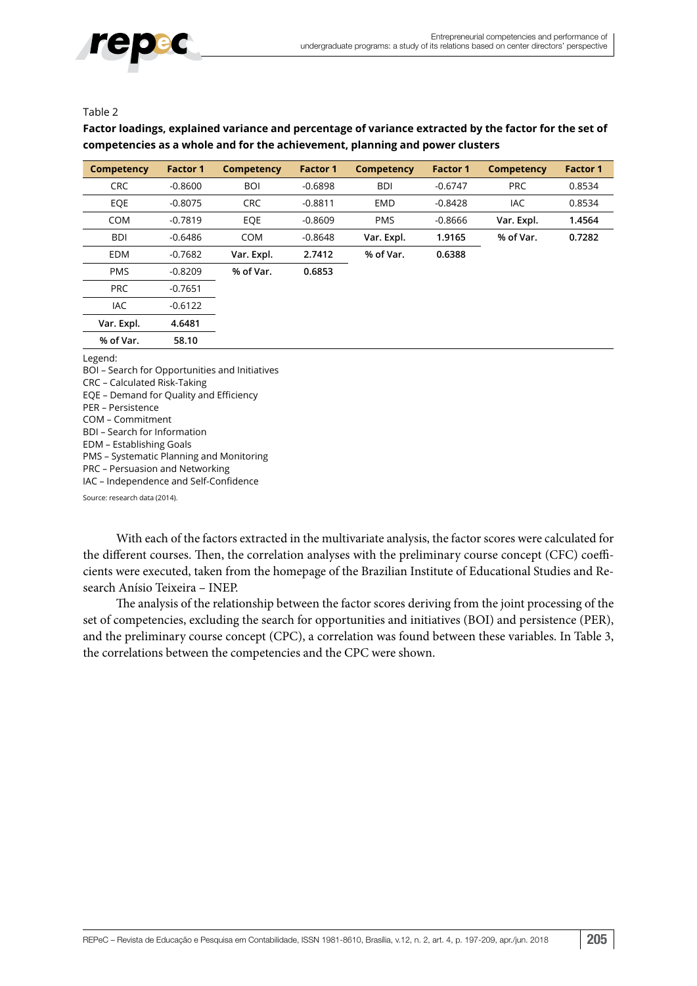

### Table 2

### **Factor loadings, explained variance and percentage of variance extracted by the factor for the set of competencies as a whole and for the achievement, planning and power clusters**

| <b>Competency</b> | <b>Factor 1</b> | <b>Competency</b> | <b>Factor 1</b> | <b>Competency</b> | <b>Factor 1</b> | <b>Competency</b> | <b>Factor 1</b> |
|-------------------|-----------------|-------------------|-----------------|-------------------|-----------------|-------------------|-----------------|
| <b>CRC</b>        | $-0.8600$       | <b>BOI</b>        | $-0.6898$       | <b>BDI</b>        | $-0.6747$       | <b>PRC</b>        | 0.8534          |
| EQE               | $-0.8075$       | <b>CRC</b>        | $-0.8811$       | <b>EMD</b>        | $-0.8428$       | IAC.              | 0.8534          |
| <b>COM</b>        | $-0.7819$       | EOE               | $-0.8609$       | <b>PMS</b>        | $-0.8666$       | Var. Expl.        | 1.4564          |
| <b>BDI</b>        | $-0.6486$       | <b>COM</b>        | $-0.8648$       | Var. Expl.        | 1.9165          | % of Var.         | 0.7282          |
| <b>EDM</b>        | $-0.7682$       | Var. Expl.        | 2.7412          | % of Var.         | 0.6388          |                   |                 |
| <b>PMS</b>        | $-0.8209$       | % of Var.         | 0.6853          |                   |                 |                   |                 |
| <b>PRC</b>        | $-0.7651$       |                   |                 |                   |                 |                   |                 |
| <b>IAC</b>        | $-0.6122$       |                   |                 |                   |                 |                   |                 |
| Var. Expl.        | 4.6481          |                   |                 |                   |                 |                   |                 |
| % of Var.         | 58.10           |                   |                 |                   |                 |                   |                 |

Legend:

BOI – Search for Opportunities and Initiatives CRC – Calculated Risk-Taking EQE – Demand for Quality and Efficiency PER – Persistence COM – Commitment BDI – Search for Information EDM – Establishing Goals PMS – Systematic Planning and Monitoring PRC – Persuasion and Networking IAC – Independence and Self-Confidence Source: research data (2014).

With each of the factors extracted in the multivariate analysis, the factor scores were calculated for the different courses. Then, the correlation analyses with the preliminary course concept (CFC) coefficients were executed, taken from the homepage of the Brazilian Institute of Educational Studies and Research Anísio Teixeira – INEP.

The analysis of the relationship between the factor scores deriving from the joint processing of the set of competencies, excluding the search for opportunities and initiatives (BOI) and persistence (PER), and the preliminary course concept (CPC), a correlation was found between these variables. In Table 3, the correlations between the competencies and the CPC were shown.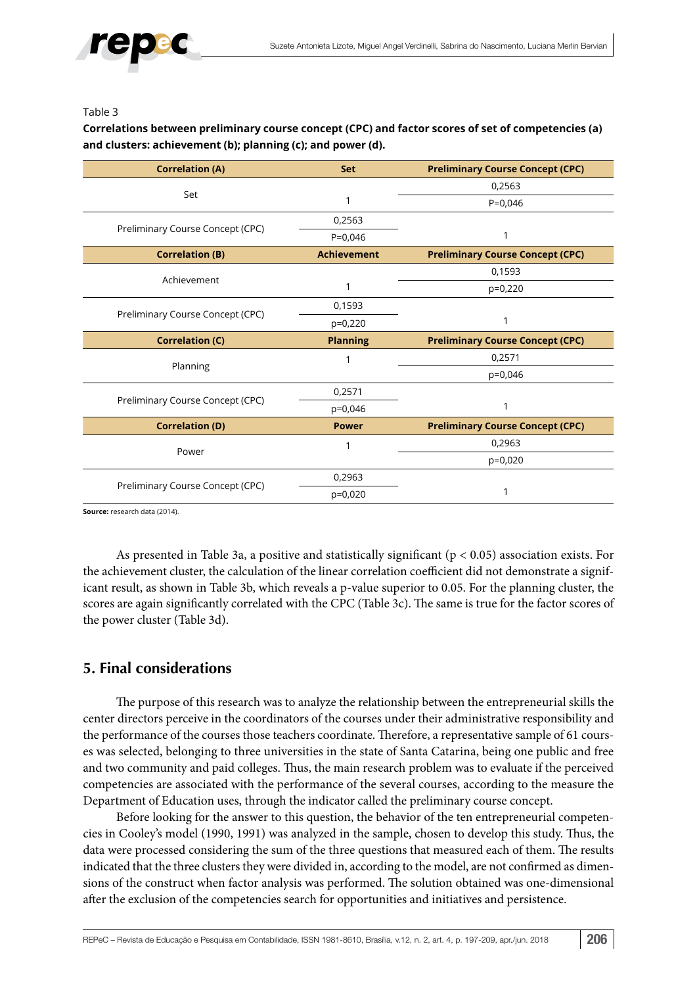#### Table 3

### **Correlations between preliminary course concept (CPC) and factor scores of set of competencies (a) and clusters: achievement (b); planning (c); and power (d).**

| <b>Correlation (A)</b>           | <b>Set</b>         | <b>Preliminary Course Concept (CPC)</b> |
|----------------------------------|--------------------|-----------------------------------------|
|                                  |                    | 0,2563                                  |
| Set                              |                    | $P = 0.046$                             |
|                                  | 0,2563             |                                         |
| Preliminary Course Concept (CPC) | $P=0,046$          | 1                                       |
| <b>Correlation (B)</b>           | <b>Achievement</b> | <b>Preliminary Course Concept (CPC)</b> |
| Achievement                      |                    | 0,1593                                  |
|                                  | 1                  | $p=0,220$                               |
| Preliminary Course Concept (CPC) | 0,1593             |                                         |
|                                  | $p=0,220$          | 1                                       |
| <b>Correlation (C)</b>           | <b>Planning</b>    | <b>Preliminary Course Concept (CPC)</b> |
| Planning                         | 1                  | 0,2571                                  |
|                                  |                    | p=0,046                                 |
| Preliminary Course Concept (CPC) | 0,2571             |                                         |
|                                  | $p=0,046$          | 1                                       |
| <b>Correlation (D)</b>           | <b>Power</b>       | <b>Preliminary Course Concept (CPC)</b> |
|                                  | 1                  | 0,2963                                  |
| Power                            |                    | $p=0,020$                               |
|                                  | 0,2963             |                                         |
| Preliminary Course Concept (CPC) | $p=0,020$          | $\mathbf{1}$                            |

**Source:** research data (2014).

As presented in Table 3a, a positive and statistically significant (p < 0.05) association exists. For the achievement cluster, the calculation of the linear correlation coefficient did not demonstrate a significant result, as shown in Table 3b, which reveals a p-value superior to 0.05. For the planning cluster, the scores are again significantly correlated with the CPC (Table 3c). The same is true for the factor scores of the power cluster (Table 3d).

# **5. Final considerations**

The purpose of this research was to analyze the relationship between the entrepreneurial skills the center directors perceive in the coordinators of the courses under their administrative responsibility and the performance of the courses those teachers coordinate. Therefore, a representative sample of 61 courses was selected, belonging to three universities in the state of Santa Catarina, being one public and free and two community and paid colleges. Thus, the main research problem was to evaluate if the perceived competencies are associated with the performance of the several courses, according to the measure the Department of Education uses, through the indicator called the preliminary course concept.

Before looking for the answer to this question, the behavior of the ten entrepreneurial competencies in Cooley's model (1990, 1991) was analyzed in the sample, chosen to develop this study. Thus, the data were processed considering the sum of the three questions that measured each of them. The results indicated that the three clusters they were divided in, according to the model, are not confirmed as dimensions of the construct when factor analysis was performed. The solution obtained was one-dimensional after the exclusion of the competencies search for opportunities and initiatives and persistence.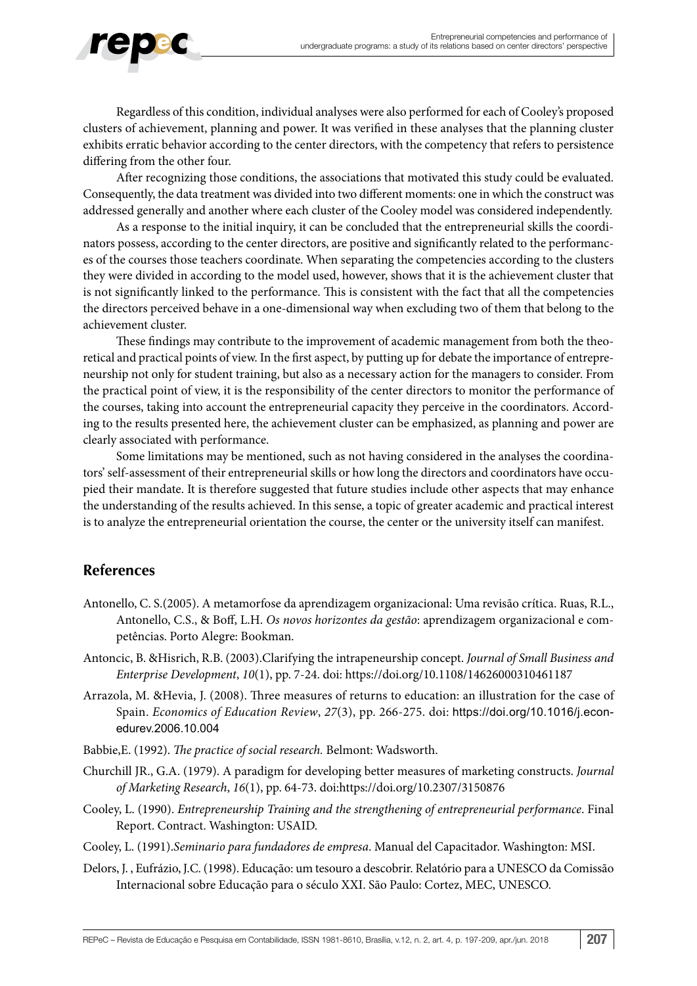

Regardless of this condition, individual analyses were also performed for each of Cooley's proposed clusters of achievement, planning and power. It was verified in these analyses that the planning cluster exhibits erratic behavior according to the center directors, with the competency that refers to persistence differing from the other four.

After recognizing those conditions, the associations that motivated this study could be evaluated. Consequently, the data treatment was divided into two different moments: one in which the construct was addressed generally and another where each cluster of the Cooley model was considered independently.

As a response to the initial inquiry, it can be concluded that the entrepreneurial skills the coordinators possess, according to the center directors, are positive and significantly related to the performances of the courses those teachers coordinate. When separating the competencies according to the clusters they were divided in according to the model used, however, shows that it is the achievement cluster that is not significantly linked to the performance. This is consistent with the fact that all the competencies the directors perceived behave in a one-dimensional way when excluding two of them that belong to the achievement cluster.

These findings may contribute to the improvement of academic management from both the theoretical and practical points of view. In the first aspect, by putting up for debate the importance of entrepreneurship not only for student training, but also as a necessary action for the managers to consider. From the practical point of view, it is the responsibility of the center directors to monitor the performance of the courses, taking into account the entrepreneurial capacity they perceive in the coordinators. According to the results presented here, the achievement cluster can be emphasized, as planning and power are clearly associated with performance.

Some limitations may be mentioned, such as not having considered in the analyses the coordinators' self-assessment of their entrepreneurial skills or how long the directors and coordinators have occupied their mandate. It is therefore suggested that future studies include other aspects that may enhance the understanding of the results achieved. In this sense, a topic of greater academic and practical interest is to analyze the entrepreneurial orientation the course, the center or the university itself can manifest.

# **References**

- Antonello, C. S.(2005). A metamorfose da aprendizagem organizacional: Uma revisão crítica. Ruas, R.L., Antonello, C.S., & Boff, L.H. *Os novos horizontes da gestão*: aprendizagem organizacional e competências. Porto Alegre: Bookman.
- Antoncic, B. &Hisrich, R.B. (2003).Clarifying the intrapeneurship concept. *Journal of Small Business and Enterprise Development*, *10*(1), pp. 7-24. doi:<https://doi.org/10.1108/14626000310461187>
- Arrazola, M. &Hevia, J. (2008). Three measures of returns to education: an illustration for the case of Spain. *Economics of Education Review*, *27*(3), pp. 266-275. doi: [https://doi.org/10.1016/j.econ](https://doi.org/10.1016/j.econedurev.2006.10.004)[edurev.2006.10.004](https://doi.org/10.1016/j.econedurev.2006.10.004)
- Babbie,E. (1992). *The practice of social research.* Belmont: Wadsworth.
- Churchill JR., G.A. (1979). A paradigm for developing better measures of marketing constructs. *Journal of Marketing Research*, *16*(1), pp. 64-73. doi:<https://doi.org/10.2307/3150876>
- Cooley, L. (1990). *Entrepreneurship Training and the strengthening of entrepreneurial performance*. Final Report. Contract. Washington: USAID.
- Cooley, L. (1991).*Seminario para fundadores de empresa*. Manual del Capacitador. Washington: MSI.
- Delors, J. , Eufrázio, J.C. (1998). Educação: um tesouro a descobrir. Relatório para a UNESCO da Comissão Internacional sobre Educação para o século XXI. São Paulo: Cortez, MEC, UNESCO.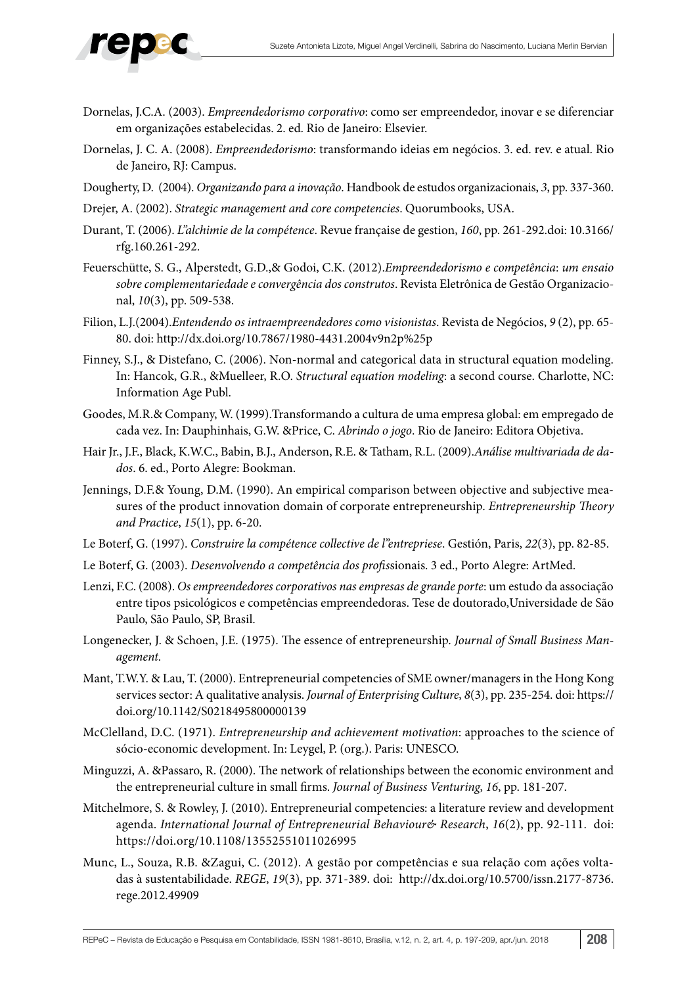

- Dornelas, J.C.A. (2003). *Empreendedorismo corporativo*: como ser empreendedor, inovar e se diferenciar em organizações estabelecidas. 2. ed. Rio de Janeiro: Elsevier.
- Dornelas, J. C. A. (2008). *Empreendedorismo*: transformando ideias em negócios. 3. ed. rev. e atual. Rio de Janeiro, RJ: Campus.
- Dougherty, D. (2004). *Organizando para a inovação*. Handbook de estudos organizacionais, *3*, pp. 337-360.
- Drejer, A. (2002). *Strategic management and core competencies*. Quorumbooks, USA.
- Durant, T. (2006). *L"alchimie de la compétence*. Revue française de gestion, *160*, pp. 261-292.doi: 10.3166/ rfg.160.261-292.
- Feuerschütte, S. G., Alperstedt, G.D.,& Godoi, C.K. (2012).*Empreendedorismo e competência*: *um ensaio sobre complementariedade e convergência dos construtos*. Revista Eletrônica de Gestão Organizacional, *10*(3), pp. 509-538.
- Filion, L.J.(2004).*Entendendo os intraempreendedores como visionistas*. Revista de Negócios, *9* (2), pp. 65- 80. doi: <http://dx.doi.org/10.7867/1980-4431.2004v9n2p%25p>
- Finney, S.J., & Distefano, C. (2006). Non-normal and categorical data in structural equation modeling. In: Hancok, G.R., &Muelleer, R.O. *Structural equation modeling*: a second course. Charlotte, NC: Information Age Publ.
- Goodes, M.R.& Company, W. (1999).Transformando a cultura de uma empresa global: em empregado de cada vez. In: Dauphinhais, G.W. &Price, C. *Abrindo o jogo*. Rio de Janeiro: Editora Objetiva.
- Hair Jr., J.F., Black, K.W.C., Babin, B.J., Anderson, R.E. & Tatham, R.L. (2009).*Análise multivariada de dados*. 6. ed., Porto Alegre: Bookman.
- Jennings, D.F.& Young, D.M. (1990). An empirical comparison between objective and subjective measures of the product innovation domain of corporate entrepreneurship. *Entrepreneurship Theory and Practice*, *15*(1), pp. 6-20.
- Le Boterf, G. (1997). *Construire la compétence collective de l"entrepriese*. Gestión, Paris, *22*(3), pp. 82-85.
- Le Boterf, G. (2003). *Desenvolvendo a competência dos profis*sionais. 3 ed., Porto Alegre: ArtMed.
- Lenzi, F.C. (2008). *Os empreendedores corporativos nas empresas de grande porte*: um estudo da associação entre tipos psicológicos e competências empreendedoras. Tese de doutorado,Universidade de São Paulo, São Paulo, SP, Brasil.
- Longenecker, J. & Schoen, J.E. (1975). The essence of entrepreneurship. *Journal of Small Business Management.*
- Mant, T.W.Y. & Lau, T. (2000). Entrepreneurial competencies of SME owner/managers in the Hong Kong services sector: A qualitative analysis. *Journal of Enterprising Culture*, *8*(3), pp. 235-254. doi: [https://](https://doi.org/10.1142/S0218495800000139) [doi.org/10.1142/S0218495800000139](https://doi.org/10.1142/S0218495800000139)
- McClelland, D.C. (1971). *Entrepreneurship and achievement motivation*: approaches to the science of sócio-economic development. In: Leygel, P. (org.). Paris: UNESCO.
- Minguzzi, A. &Passaro, R. (2000). The network of relationships between the economic environment and the entrepreneurial culture in small firms. *Journal of Business Venturing*, *16*, pp. 181-207.
- Mitchelmore, S. & Rowley, J. (2010). Entrepreneurial competencies: a literature review and development agenda. *International Journal of Entrepreneurial Behaviour& Research*, *16*(2), pp. 92-111. doi: <https://doi.org/10.1108/13552551011026995>
- Munc, L., Souza, R.B. &Zagui, C. (2012). A gestão por competências e sua relação com ações voltadas à sustentabilidade. *REGE*, *19*(3), pp. 371-389. doi: [http://dx.doi.org/10.5700/issn.2177-8736.](http://dx.doi.org/10.5700/issn.2177-8736.rege.2012.49909) [rege.2012.49909](http://dx.doi.org/10.5700/issn.2177-8736.rege.2012.49909)